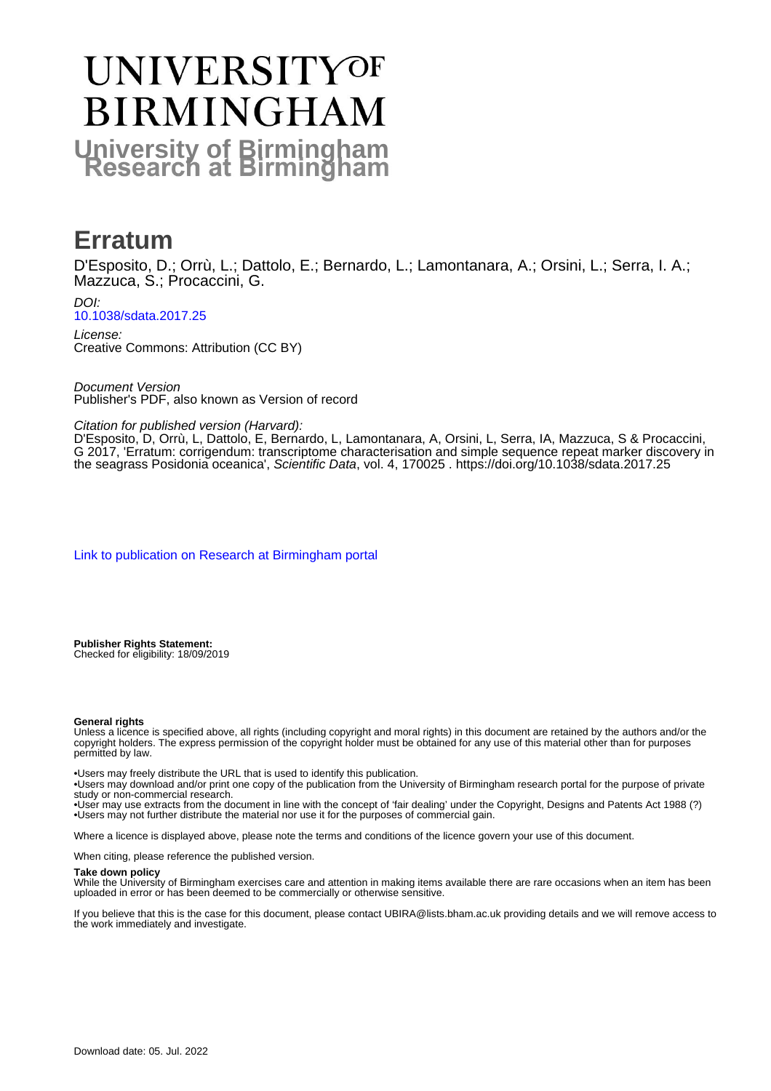## UNIVERSITYOF **BIRMINGHAM University of Birmingham**

### **Erratum**

D'Esposito, D.; Orrù, L.; Dattolo, E.; Bernardo, L.; Lamontanara, A.; Orsini, L.; Serra, I. A.; Mazzuca, S.; Procaccini, G.

DOI: [10.1038/sdata.2017.25](https://doi.org/10.1038/sdata.2017.25)

License: Creative Commons: Attribution (CC BY)

Document Version Publisher's PDF, also known as Version of record

Citation for published version (Harvard):

D'Esposito, D, Orrù, L, Dattolo, E, Bernardo, L, Lamontanara, A, Orsini, L, Serra, IA, Mazzuca, S & Procaccini, G 2017, 'Erratum: corrigendum: transcriptome characterisation and simple sequence repeat marker discovery in the seagrass Posidonia oceanica', Scientific Data, vol. 4, 170025 . <https://doi.org/10.1038/sdata.2017.25>

[Link to publication on Research at Birmingham portal](https://birmingham.elsevierpure.com/en/publications/6d6afe65-8b0a-4c97-b297-c235601ce6a6)

**Publisher Rights Statement:** Checked for eligibility: 18/09/2019

#### **General rights**

Unless a licence is specified above, all rights (including copyright and moral rights) in this document are retained by the authors and/or the copyright holders. The express permission of the copyright holder must be obtained for any use of this material other than for purposes permitted by law.

• Users may freely distribute the URL that is used to identify this publication.

• Users may download and/or print one copy of the publication from the University of Birmingham research portal for the purpose of private study or non-commercial research.

• User may use extracts from the document in line with the concept of 'fair dealing' under the Copyright, Designs and Patents Act 1988 (?) • Users may not further distribute the material nor use it for the purposes of commercial gain.

Where a licence is displayed above, please note the terms and conditions of the licence govern your use of this document.

When citing, please reference the published version.

#### **Take down policy**

While the University of Birmingham exercises care and attention in making items available there are rare occasions when an item has been uploaded in error or has been deemed to be commercially or otherwise sensitive.

If you believe that this is the case for this document, please contact UBIRA@lists.bham.ac.uk providing details and we will remove access to the work immediately and investigate.